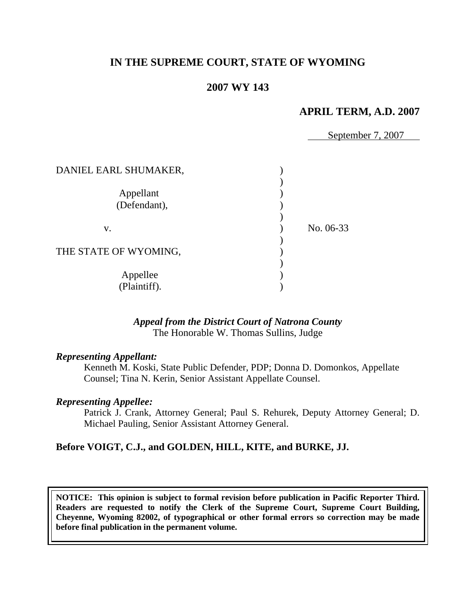# **IN THE SUPREME COURT, STATE OF WYOMING**

# **2007 WY 143**

## **APRIL TERM, A.D. 2007**

September 7, 2007

| DANIEL EARL SHUMAKER,     |           |
|---------------------------|-----------|
| Appellant<br>(Defendant), |           |
| V.                        | No. 06-33 |
| THE STATE OF WYOMING,     |           |
| Appellee<br>(Plaintiff).  |           |

#### *Appeal from the District Court of Natrona County* The Honorable W. Thomas Sullins, Judge

#### *Representing Appellant:*

Kenneth M. Koski, State Public Defender, PDP; Donna D. Domonkos, Appellate Counsel; Tina N. Kerin, Senior Assistant Appellate Counsel.

#### *Representing Appellee:*

Patrick J. Crank, Attorney General; Paul S. Rehurek, Deputy Attorney General; D. Michael Pauling, Senior Assistant Attorney General.

### **Before VOIGT, C.J., and GOLDEN, HILL, KITE, and BURKE, JJ.**

**NOTICE: This opinion is subject to formal revision before publication in Pacific Reporter Third. Readers are requested to notify the Clerk of the Supreme Court, Supreme Court Building, Cheyenne, Wyoming 82002, of typographical or other formal errors so correction may be made before final publication in the permanent volume.**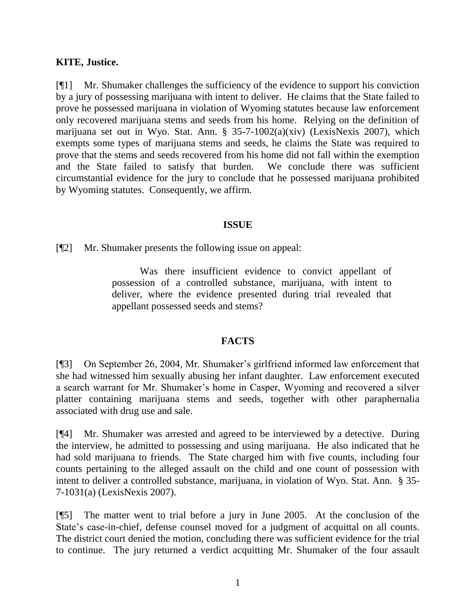# **KITE, Justice.**

[¶1] Mr. Shumaker challenges the sufficiency of the evidence to support his conviction by a jury of possessing marijuana with intent to deliver. He claims that the State failed to prove he possessed marijuana in violation of Wyoming statutes because law enforcement only recovered marijuana stems and seeds from his home. Relying on the definition of marijuana set out in Wyo. Stat. Ann. § 35-7-1002(a)(xiv) (LexisNexis 2007), which exempts some types of marijuana stems and seeds, he claims the State was required to prove that the stems and seeds recovered from his home did not fall within the exemption and the State failed to satisfy that burden. We conclude there was sufficient circumstantial evidence for the jury to conclude that he possessed marijuana prohibited by Wyoming statutes. Consequently, we affirm.

### **ISSUE**

[¶2] Mr. Shumaker presents the following issue on appeal:

Was there insufficient evidence to convict appellant of possession of a controlled substance, marijuana, with intent to deliver, where the evidence presented during trial revealed that appellant possessed seeds and stems?

# **FACTS**

[¶3] On September 26, 2004, Mr. Shumaker"s girlfriend informed law enforcement that she had witnessed him sexually abusing her infant daughter. Law enforcement executed a search warrant for Mr. Shumaker"s home in Casper, Wyoming and recovered a silver platter containing marijuana stems and seeds, together with other paraphernalia associated with drug use and sale.

[¶4] Mr. Shumaker was arrested and agreed to be interviewed by a detective. During the interview, he admitted to possessing and using marijuana. He also indicated that he had sold marijuana to friends. The State charged him with five counts, including four counts pertaining to the alleged assault on the child and one count of possession with intent to deliver a controlled substance, marijuana, in violation of Wyo. Stat. Ann. § 35- 7-1031(a) (LexisNexis 2007).

[¶5] The matter went to trial before a jury in June 2005. At the conclusion of the State's case-in-chief, defense counsel moved for a judgment of acquittal on all counts. The district court denied the motion, concluding there was sufficient evidence for the trial to continue. The jury returned a verdict acquitting Mr. Shumaker of the four assault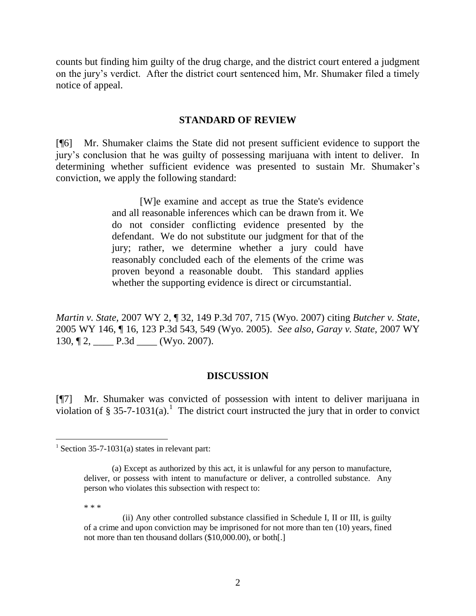counts but finding him guilty of the drug charge, and the district court entered a judgment on the jury"s verdict. After the district court sentenced him, Mr. Shumaker filed a timely notice of appeal.

## **STANDARD OF REVIEW**

[¶6] Mr. Shumaker claims the State did not present sufficient evidence to support the jury"s conclusion that he was guilty of possessing marijuana with intent to deliver. In determining whether sufficient evidence was presented to sustain Mr. Shumaker's conviction, we apply the following standard:

> [W]e examine and accept as true the State's evidence and all reasonable inferences which can be drawn from it. We do not consider conflicting evidence presented by the defendant. We do not substitute our judgment for that of the jury; rather, we determine whether a jury could have reasonably concluded each of the elements of the crime was proven beyond a reasonable doubt. This standard applies whether the supporting evidence is direct or circumstantial.

*Martin v. State,* 2007 WY 2, ¶ 32, 149 P.3d 707, 715 (Wyo. 2007) citing *Butcher v. State*, 2005 WY 146, ¶ 16, 123 P.3d 543, 549 (Wyo. 2005). *See also*, *Garay v. State,* 2007 WY 130,  $[2, \underline{\hspace{1cm}} P.3d \underline{\hspace{1cm}} (Wyo. 2007).]$ 

# **DISCUSSION**

[¶7] Mr. Shumaker was convicted of possession with intent to deliver marijuana in violation of § 35-7-1031(a).<sup>1</sup> The district court instructed the jury that in order to convict

\* \* \*

<sup>&</sup>lt;sup>1</sup> Section 35-7-1031(a) states in relevant part:

<sup>(</sup>a) Except as authorized by this act, it is unlawful for any person to manufacture, deliver, or possess with intent to manufacture or deliver, a controlled substance. Any person who violates this subsection with respect to:

 <sup>(</sup>ii) Any other controlled substance classified in Schedule I, II or III, is guilty of a crime and upon conviction may be imprisoned for not more than ten (10) years, fined not more than ten thousand dollars (\$10,000.00), or both[.]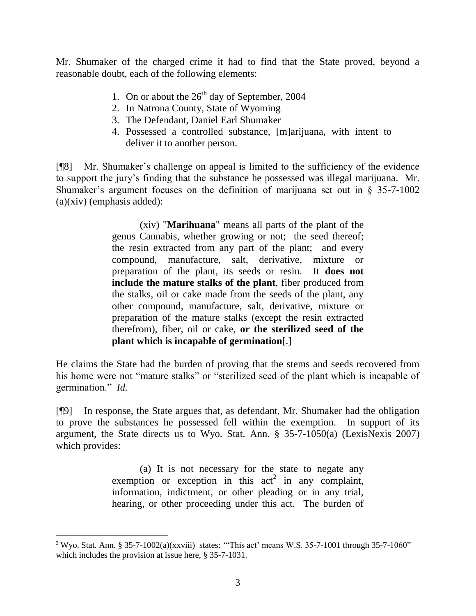Mr. Shumaker of the charged crime it had to find that the State proved, beyond a reasonable doubt, each of the following elements:

- 1. On or about the  $26<sup>th</sup>$  day of September, 2004
- 2. In Natrona County, State of Wyoming
- 3. The Defendant, Daniel Earl Shumaker
- 4. Possessed a controlled substance, [m]arijuana, with intent to deliver it to another person.

[¶8] Mr. Shumaker"s challenge on appeal is limited to the sufficiency of the evidence to support the jury"s finding that the substance he possessed was illegal marijuana. Mr. Shumaker's argument focuses on the definition of marijuana set out in  $\S$  35-7-1002 (a)(xiv) (emphasis added):

> (xiv) "**Marihuana**" means all parts of the plant of the genus Cannabis, whether growing or not; the seed thereof; the resin extracted from any part of the plant; and every compound, manufacture, salt, derivative, mixture or preparation of the plant, its seeds or resin. It **does not include the mature stalks of the plant**, fiber produced from the stalks, oil or cake made from the seeds of the plant, any other compound, manufacture, salt, derivative, mixture or preparation of the mature stalks (except the resin extracted therefrom), fiber, oil or cake, **or the sterilized seed of the plant which is incapable of germination**[.]

He claims the State had the burden of proving that the stems and seeds recovered from his home were not "mature stalks" or "sterilized seed of the plant which is incapable of germination." *Id.* 

[¶9] In response, the State argues that, as defendant, Mr. Shumaker had the obligation to prove the substances he possessed fell within the exemption. In support of its argument, the State directs us to Wyo. Stat. Ann. § 35-7-1050(a) (LexisNexis 2007) which provides:

> (a) It is not necessary for the state to negate any exemption or exception in this  $act<sup>2</sup>$  in any complaint, information, indictment, or other pleading or in any trial, hearing, or other proceeding under this act. The burden of

l

<sup>&</sup>lt;sup>2</sup> Wyo. Stat. Ann. § 35-7-1002(a)(xxviii) states: "This act' means W.S. 35-7-1001 through 35-7-1060" which includes the provision at issue here, § 35-7-1031.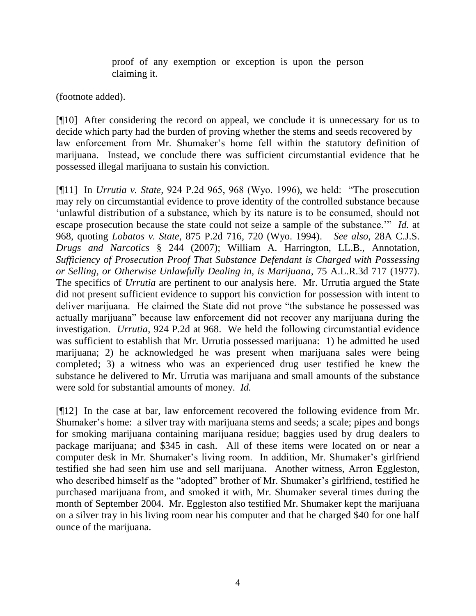proof of any exemption or exception is upon the person claiming it.

(footnote added).

[¶10] After considering the record on appeal, we conclude it is unnecessary for us to decide which party had the burden of proving whether the stems and seeds recovered by law enforcement from Mr. Shumaker's home fell within the statutory definition of marijuana. Instead, we conclude there was sufficient circumstantial evidence that he possessed illegal marijuana to sustain his conviction.

[¶11] In *Urrutia v. State,* 924 P.2d 965, 968 (Wyo. 1996), we held: "The prosecution may rely on circumstantial evidence to prove identity of the controlled substance because 'unlawful distribution of a substance, which by its nature is to be consumed, should not escape prosecution because the state could not seize a sample of the substance."" *Id.* at 968, quoting *Lobatos v. State,* 875 P.2d 716, 720 (Wyo. 1994). *See also*, 28A C.J.S. *Drugs and Narcotics* § 244 (2007); William A. Harrington, LL.B., Annotation, *Sufficiency of Prosecution Proof That Substance Defendant is Charged with Possessing or Selling, or Otherwise Unlawfully Dealing in, is Marijuana*, 75 A.L.R.3d 717 (1977). The specifics of *Urrutia* are pertinent to our analysis here. Mr. Urrutia argued the State did not present sufficient evidence to support his conviction for possession with intent to deliver marijuana. He claimed the State did not prove "the substance he possessed was actually marijuana" because law enforcement did not recover any marijuana during the investigation. *Urrutia*, 924 P.2d at 968. We held the following circumstantial evidence was sufficient to establish that Mr. Urrutia possessed marijuana: 1) he admitted he used marijuana; 2) he acknowledged he was present when marijuana sales were being completed; 3) a witness who was an experienced drug user testified he knew the substance he delivered to Mr. Urrutia was marijuana and small amounts of the substance were sold for substantial amounts of money. *Id.* 

[¶12] In the case at bar, law enforcement recovered the following evidence from Mr. Shumaker's home: a silver tray with marijuana stems and seeds; a scale; pipes and bongs for smoking marijuana containing marijuana residue; baggies used by drug dealers to package marijuana; and \$345 in cash. All of these items were located on or near a computer desk in Mr. Shumaker's living room. In addition, Mr. Shumaker's girlfriend testified she had seen him use and sell marijuana. Another witness, Arron Eggleston, who described himself as the "adopted" brother of Mr. Shumaker's girlfriend, testified he purchased marijuana from, and smoked it with, Mr. Shumaker several times during the month of September 2004. Mr. Eggleston also testified Mr. Shumaker kept the marijuana on a silver tray in his living room near his computer and that he charged \$40 for one half ounce of the marijuana.